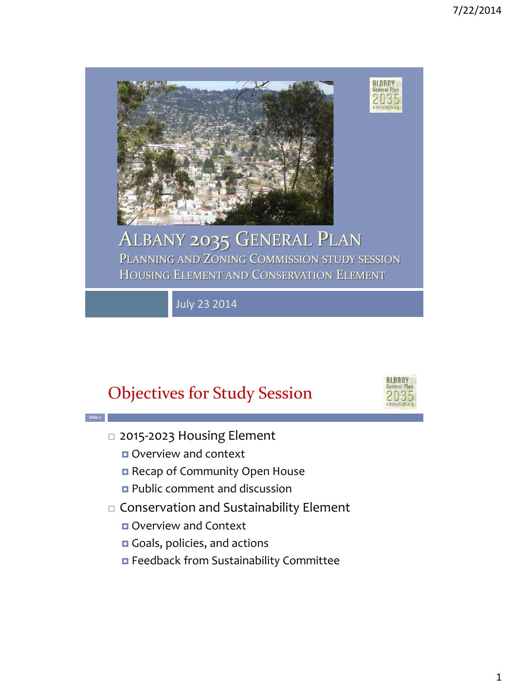

#### ALBANY 2035 GENERAL PLAN PLANNING AND ZONING COMMISSION STUDY SESSION HOUSING ELEMENT AND CONSERVATION ELEMENT

July 23 2014

## Objectives for Study Session



**ALBANY** deneral

- □ 2015-2023 Housing Element
	- **OVERVIEW and context**

**Slide 2**

- Recap of Community Open House
- **Public comment and discussion**
- Conservation and Sustainability Element
	- **D** Overview and Context
	- Goals, policies, and actions
	- Feedback from Sustainability Committee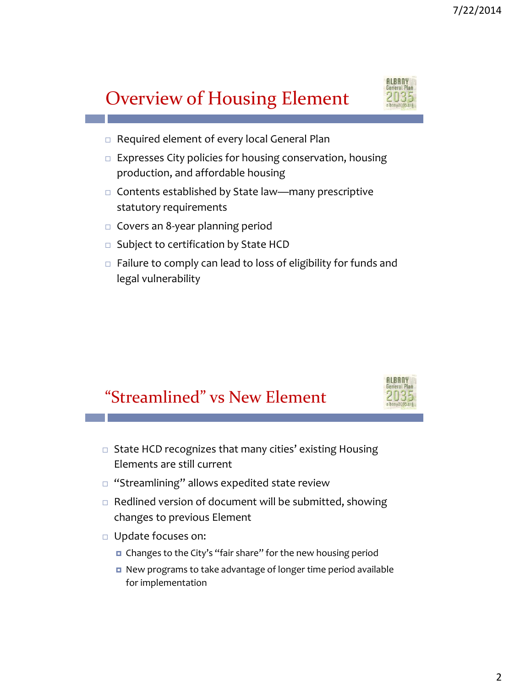# Overview of Housing Element



- □ Required element of every local General Plan
- $\Box$  Expresses City policies for housing conservation, housing production, and affordable housing
- $\Box$  Contents established by State law—many prescriptive statutory requirements
- $\Box$  Covers an 8-year planning period
- $\Box$  Subject to certification by State HCD
- $\Box$  Failure to comply can lead to loss of eligibility for funds and legal vulnerability

## "Streamlined" vs New Element



- $\Box$  State HCD recognizes that many cities' existing Housing Elements are still current
- $\Box$  "Streamlining" allows expedited state review
- $\Box$  Redlined version of document will be submitted, showing changes to previous Element
- Update focuses on:
	- Changes to the City's "fair share" for the new housing period
	- New programs to take advantage of longer time period available for implementation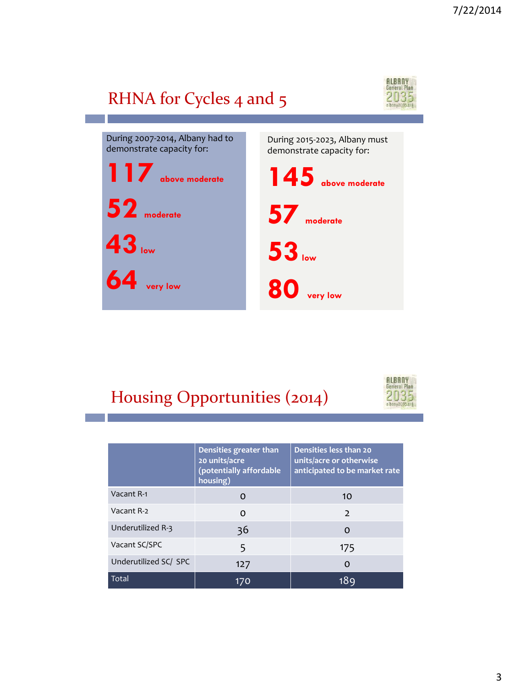# RHNA for Cycles 4 and 5



During 2007-2014, Albany had to demonstrate capacity for: **117 above moderate 52 moderate 43low 64 very low** During 2015-2023, Albany must demonstrate capacity for: **145 above moderate 57 moderate 53low 80 very low**

# Housing Opportunities (2014)



|                       | Densities greater than<br>20 units/acre<br>(potentially affordable<br>housing) | Densities less than 20<br>units/acre or otherwise<br>anticipated to be market rate |
|-----------------------|--------------------------------------------------------------------------------|------------------------------------------------------------------------------------|
| Vacant R-1            | O                                                                              | 10                                                                                 |
| Vacant R-2            | O                                                                              | $\mathcal{L}$                                                                      |
| Underutilized R-3     | 36                                                                             | Ω                                                                                  |
| Vacant SC/SPC         | 5                                                                              | 175                                                                                |
| Underutilized SC/ SPC | 127                                                                            | Ω                                                                                  |
| <b>Total</b>          | 170                                                                            | 18c                                                                                |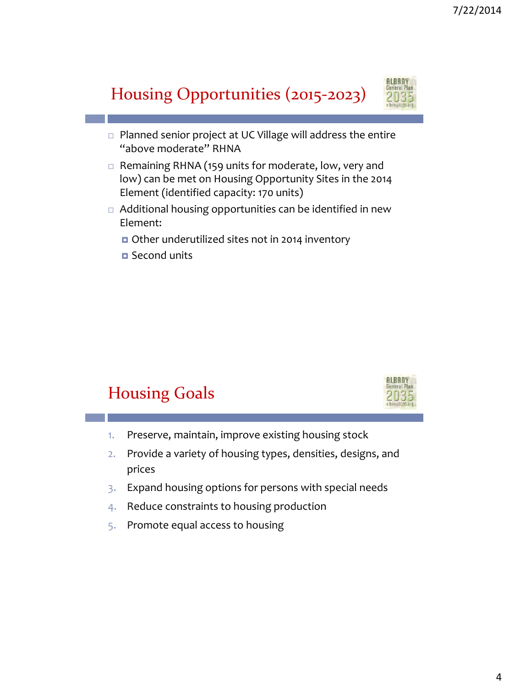# Housing Opportunities (2015-2023)



- $\Box$  Planned senior project at UC Village will address the entire "above moderate" RHNA
- $\Box$  Remaining RHNA (159 units for moderate, low, very and low) can be met on Housing Opportunity Sites in the 2014 Element (identified capacity: 170 units)
- Additional housing opportunities can be identified in new Element:
	- Other underutilized sites not in 2014 inventory
	- Second units

## Housing Goals



- 1. Preserve, maintain, improve existing housing stock
- 2. Provide a variety of housing types, densities, designs, and prices
- 3. Expand housing options for persons with special needs
- 4. Reduce constraints to housing production
- 5. Promote equal access to housing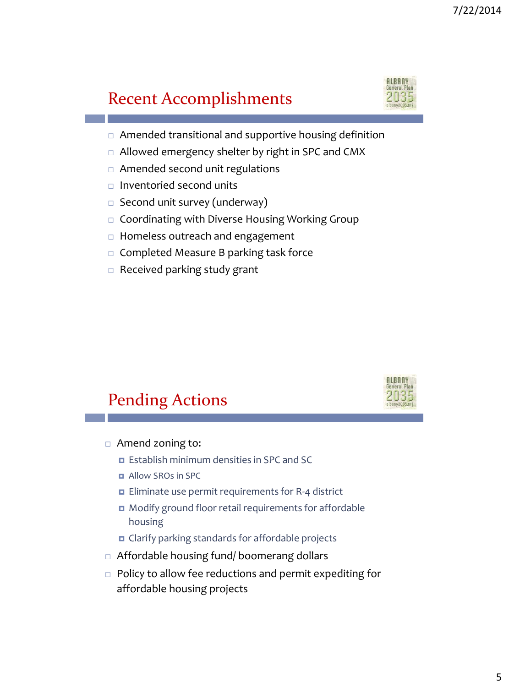## Recent Accomplishments



- Amended transitional and supportive housing definition
- □ Allowed emergency shelter by right in SPC and CMX
- □ Amended second unit regulations
- $\Box$  Inventoried second units
- $\square$  Second unit survey (underway)
- □ Coordinating with Diverse Housing Working Group
- $\Box$  Homeless outreach and engagement
- $\Box$  Completed Measure B parking task force
- $\Box$  Received parking study grant

# Pending Actions



- □ Amend zoning to:
	- **E** Establish minimum densities in SPC and SC
	- **B** Allow SROs in SPC
	- **Eliminate use permit requirements for R-4 district**
	- Modify ground floor retail requirements for affordable housing
	- **D** Clarify parking standards for affordable projects
- Affordable housing fund/ boomerang dollars
- □ Policy to allow fee reductions and permit expediting for affordable housing projects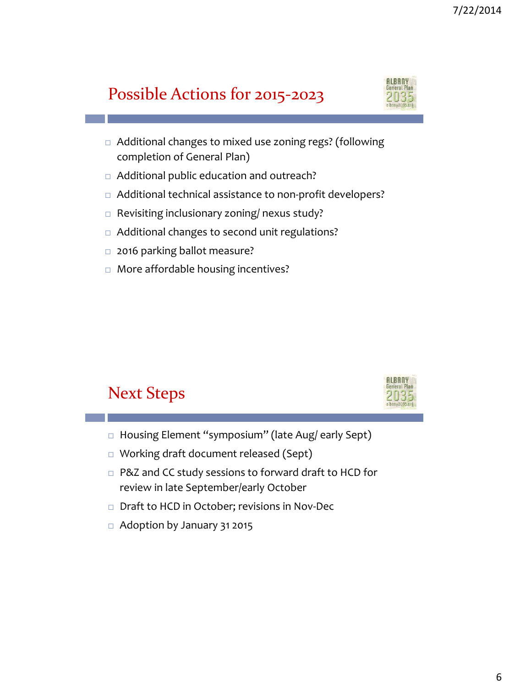## Possible Actions for 2015-2023



- □ Additional changes to mixed use zoning regs? (following completion of General Plan)
- □ Additional public education and outreach?
- □ Additional technical assistance to non-profit developers?
- □ Revisiting inclusionary zoning/ nexus study?
- □ Additional changes to second unit regulations?
- □ 2016 parking ballot measure?
- □ More affordable housing incentives?

#### Next Steps



- □ Housing Element "symposium" (late Aug/ early Sept)
- Working draft document released (Sept)
- □ P&Z and CC study sessions to forward draft to HCD for review in late September/early October
- □ Draft to HCD in October; revisions in Nov-Dec
- $\Box$  Adoption by January 31 2015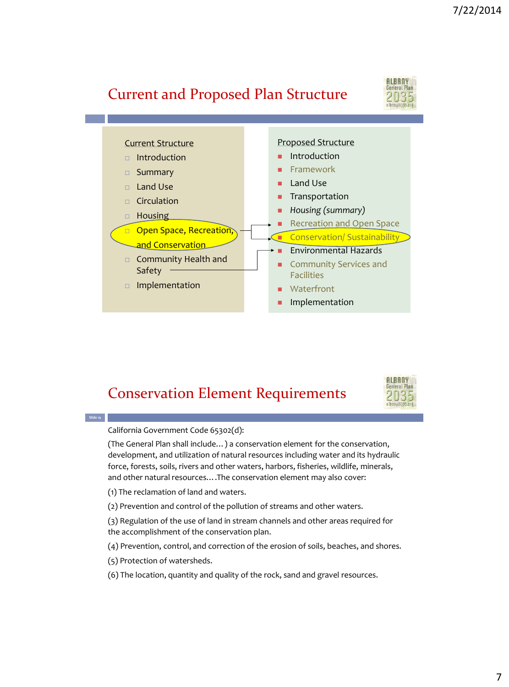#### Current and Proposed Plan Structure





#### Conservation Element Requirements



California Government Code 65302(d):

**Slide 14**

(The General Plan shall include…) a conservation element for the conservation, development, and utilization of natural resources including water and its hydraulic force, forests, soils, rivers and other waters, harbors, fisheries, wildlife, minerals, and other natural resources….The conservation element may also cover:

- (1) The reclamation of land and waters.
- (2) Prevention and control of the pollution of streams and other waters.

(3) Regulation of the use of land in stream channels and other areas required for the accomplishment of the conservation plan.

- (4) Prevention, control, and correction of the erosion of soils, beaches, and shores.
- (5) Protection of watersheds.
- (6) The location, quantity and quality of the rock, sand and gravel resources.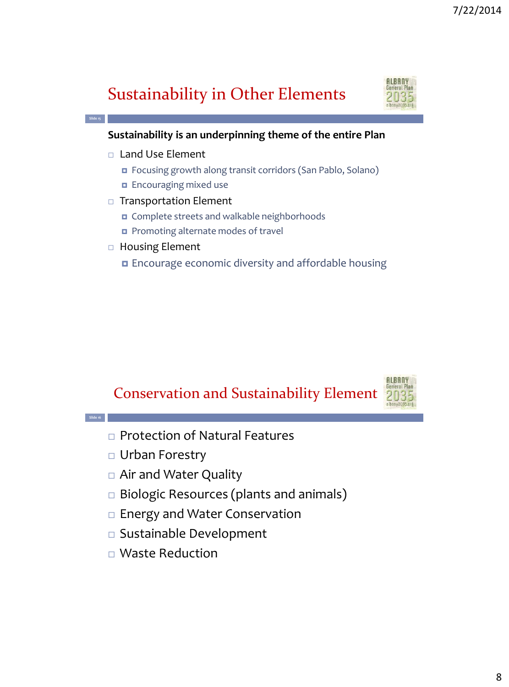# Sustainability in Other Elements



#### **Sustainability is an underpinning theme of the entire Plan**

□ Land Use Element

**Slide 15**

**Slide 16**

- Focusing growth along transit corridors (San Pablo, Solano)
- **Encouraging mixed use**
- □ Transportation Element
	- Complete streets and walkable neighborhoods
	- Promoting alternate modes of travel
- □ Housing Element
	- Encourage economic diversity and affordable housing





- □ Protection of Natural Features
- Urban Forestry
- Air and Water Quality
- □ Biologic Resources (plants and animals)
- □ Energy and Water Conservation
- Sustainable Development
- Waste Reduction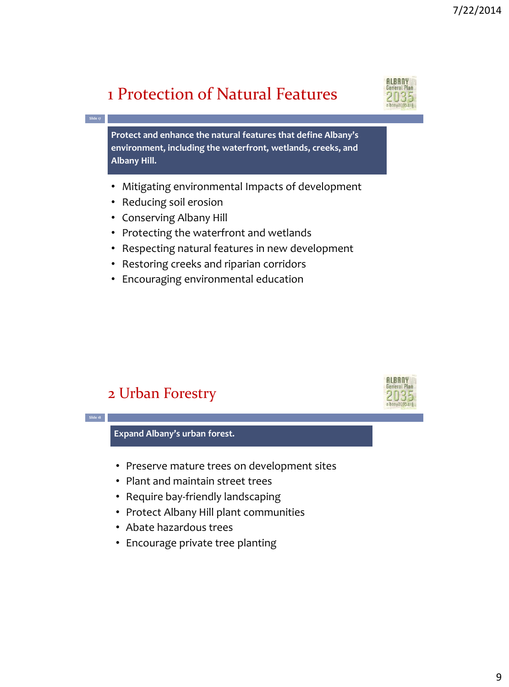## 1 Protection of Natural Features



**ALBANY** 

**Protect and enhance the natural features that define Albany's environment, including the waterfront, wetlands, creeks, and Albany Hill.**

- Mitigating environmental Impacts of development
- Reducing soil erosion

**Slide 17**

- Conserving Albany Hill
- Protecting the waterfront and wetlands
- Respecting natural features in new development
- Restoring creeks and riparian corridors
- Encouraging environmental education

#### 2 Urban Forestry



- Protect Albany Hill plant communities
- Abate hazardous trees
- Encourage private tree planting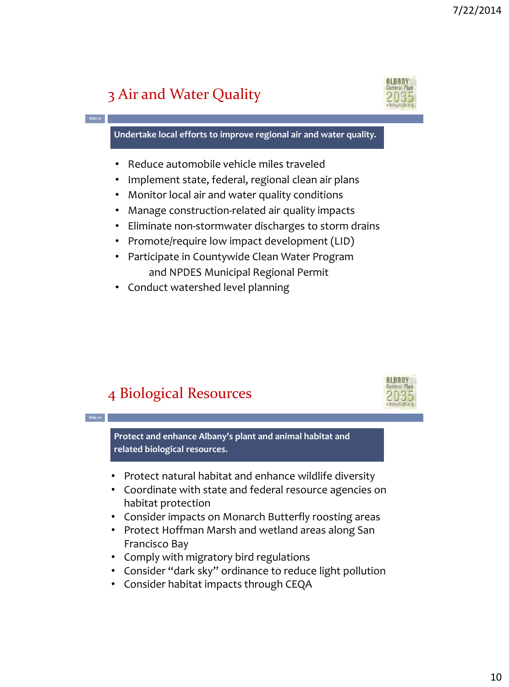## 3 Air and Water Quality

**Slide 19**

**Slide 20**



**Undertake local efforts to improve regional air and water quality.**

- Reduce automobile vehicle miles traveled
- Implement state, federal, regional clean air plans
- Monitor local air and water quality conditions
- Manage construction-related air quality impacts
- Eliminate non-stormwater discharges to storm drains
- Promote/require low impact development (LID)
- Participate in Countywide Clean Water Program and NPDES Municipal Regional Permit
- Conduct watershed level planning

#### 4 Biological Resources



**Protect and enhance Albany's plant and animal habitat and related biological resources.**

- Protect natural habitat and enhance wildlife diversity
- Coordinate with state and federal resource agencies on habitat protection
- Consider impacts on Monarch Butterfly roosting areas
- Protect Hoffman Marsh and wetland areas along San Francisco Bay
- Comply with migratory bird regulations
- Consider "dark sky" ordinance to reduce light pollution
- Consider habitat impacts through CEQA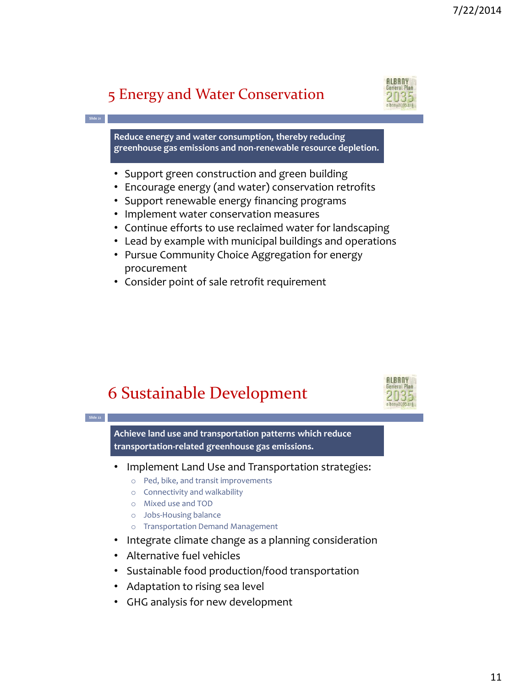#### 5 Energy and Water Conservation

**Slide 21**

**Slide 22**



**Reduce energy and water consumption, thereby reducing greenhouse gas emissions and non-renewable resource depletion.**

- Support green construction and green building
- Encourage energy (and water) conservation retrofits
- Support renewable energy financing programs
- Implement water conservation measures
- Continue efforts to use reclaimed water for landscaping
- Lead by example with municipal buildings and operations
- Pursue Community Choice Aggregation for energy procurement
- Consider point of sale retrofit requirement





**Achieve land use and transportation patterns which reduce transportation-related greenhouse gas emissions.** 

- Implement Land Use and Transportation strategies:
	- o Ped, bike, and transit improvements
	- o Connectivity and walkability
	- o Mixed use and TOD
	- o Jobs-Housing balance
	- o Transportation Demand Management
- Integrate climate change as a planning consideration
- Alternative fuel vehicles
- Sustainable food production/food transportation
- Adaptation to rising sea level
- GHG analysis for new development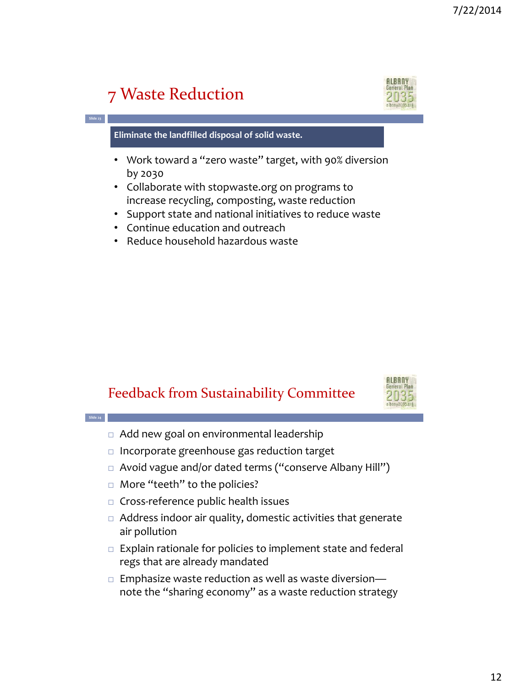# 7 Waste Reduction

**Slide 23**

**Slide 24**

# **ALBANY**

**Eliminate the landfilled disposal of solid waste.**

- Work toward a "zero waste" target, with 90% diversion by 2030
- Collaborate with stopwaste.org on programs to increase recycling, composting, waste reduction
- Support state and national initiatives to reduce waste
- Continue education and outreach
- Reduce household hazardous waste

#### Feedback from Sustainability Committee



- □ Add new goal on environmental leadership
- $\Box$  Incorporate greenhouse gas reduction target
- □ Avoid vague and/or dated terms ("conserve Albany Hill")
- □ More "teeth" to the policies?
- $\Box$  Cross-reference public health issues
- $\Box$  Address indoor air quality, domestic activities that generate air pollution
- $\Box$  Explain rationale for policies to implement state and federal regs that are already mandated
- $\Box$  Emphasize waste reduction as well as waste diversionnote the "sharing economy" as a waste reduction strategy